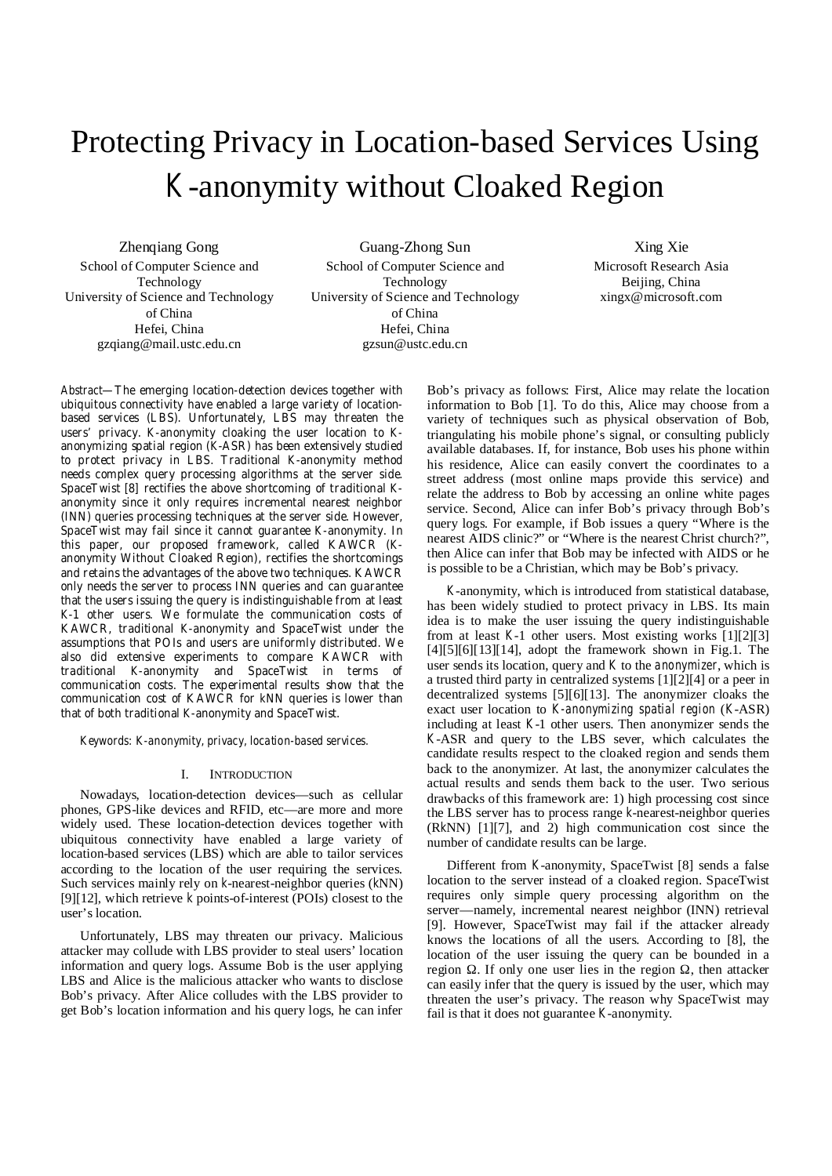# Protecting Privacy in Location-based Services Using *K*-anonymity without Cloaked Region

Zhenqiang Gong School of Computer Science and Technology University of Science and Technology of China Hefei, China gzqiang@mail.ustc.edu.cn

Guang-Zhong Sun School of Computer Science and Technology University of Science and Technology of China Hefei, China gzsun@ustc.edu.cn

Xing Xie Microsoft Research Asia Beijing, China xingx@microsoft.com

*Abstract***—The emerging location-detection devices together with ubiquitous connectivity have enabled a large variety of locationbased services (LBS). Unfortunately, LBS may threaten the users' privacy.** *K***-anonymity cloaking the user location to** *K***anonymizing spatial region (***K***-ASR) has been extensively studied to protect privacy in LBS. Traditional** *K***-anonymity method needs complex query processing algorithms at the server side. SpaceTwist [8] rectifies the above shortcoming of traditional** *K***anonymity since it only requires incremental nearest neighbor (INN) queries processing techniques at the server side. However, SpaceTwist may fail since it cannot guarantee** *K***-anonymity. In this paper, our proposed framework, called KAWCR (***K***anonymity Without Cloaked Region), rectifies the shortcomings and retains the advantages of the above two techniques. KAWCR only needs the server to process INN queries and can guarantee that the users issuing the query is indistinguishable from at least**  *K***-1 other users. We formulate the communication costs of KAWCR, traditional** *K***-anonymity and SpaceTwist under the assumptions that POIs and users are uniformly distributed. We also did extensive experiments to compare KAWCR with traditional** *K***-anonymity and SpaceTwist in terms of communication costs. The experimental results show that the communication cost of KAWCR for** *k***NN queries is lower than that of both traditional** *K***-anonymity and SpaceTwist.**

*Keywords: K-anonymity, privacy, location-based services.* 

## I. INTRODUCTION

Nowadays, location-detection devices—such as cellular phones, GPS-like devices and RFID, etc—are more and more widely used. These location-detection devices together with ubiquitous connectivity have enabled a large variety of location-based services (LBS) which are able to tailor services according to the location of the user requiring the services. Such services mainly rely on *k*-nearest-neighbor queries (*k*NN) [9][12], which retrieve *k* points-of-interest (POIs) closest to the user's location.

Unfortunately, LBS may threaten our privacy. Malicious attacker may collude with LBS provider to steal users' location information and query logs. Assume Bob is the user applying LBS and Alice is the malicious attacker who wants to disclose Bob's privacy. After Alice colludes with the LBS provider to get Bob's location information and his query logs, he can infer

Bob's privacy as follows: First, Alice may relate the location information to Bob [1]. To do this, Alice may choose from a variety of techniques such as physical observation of Bob, triangulating his mobile phone's signal, or consulting publicly available databases. If, for instance, Bob uses his phone within his residence, Alice can easily convert the coordinates to a street address (most online maps provide this service) and relate the address to Bob by accessing an online white pages service. Second, Alice can infer Bob's privacy through Bob's query logs. For example, if Bob issues a query "Where is the nearest AIDS clinic?" or "Where is the nearest Christ church?", then Alice can infer that Bob may be infected with AIDS or he is possible to be a Christian, which may be Bob's privacy.

*K*-anonymity, which is introduced from statistical database, has been widely studied to protect privacy in LBS. Its main idea is to make the user issuing the query indistinguishable from at least *K*-1 other users. Most existing works [1][2][3]  $[4][5][6][13][14]$ , adopt the framework shown in Fig.1. The user sends its location, query and *K* to the *anonymizer*, which is a trusted third party in centralized systems [1][2][4] or a peer in decentralized systems [5][6][13]. The anonymizer cloaks the exact user location to *K-anonymizing spatial region* (*K*-ASR) including at least *K*-1 other users. Then anonymizer sends the *K*-ASR and query to the LBS sever, which calculates the candidate results respect to the cloaked region and sends them back to the anonymizer. At last, the anonymizer calculates the actual results and sends them back to the user. Two serious drawbacks of this framework are: 1) high processing cost since the LBS server has to process range *k*-nearest-neighbor queries (R*k*NN) [1][7], and 2) high communication cost since the number of candidate results can be large.

Different from *K*-anonymity, SpaceTwist [8] sends a false location to the server instead of a cloaked region. SpaceTwist requires only simple query processing algorithm on the server—namely, incremental nearest neighbor (INN) retrieval [9]. However, SpaceTwist may fail if the attacker already knows the locations of all the users. According to [8], the location of the user issuing the query can be bounded in a region . If only one user lies in the region , then attacker can easily infer that the query is issued by the user, which may threaten the user's privacy. The reason why SpaceTwist may fail is that it does not guarantee *K*-anonymity.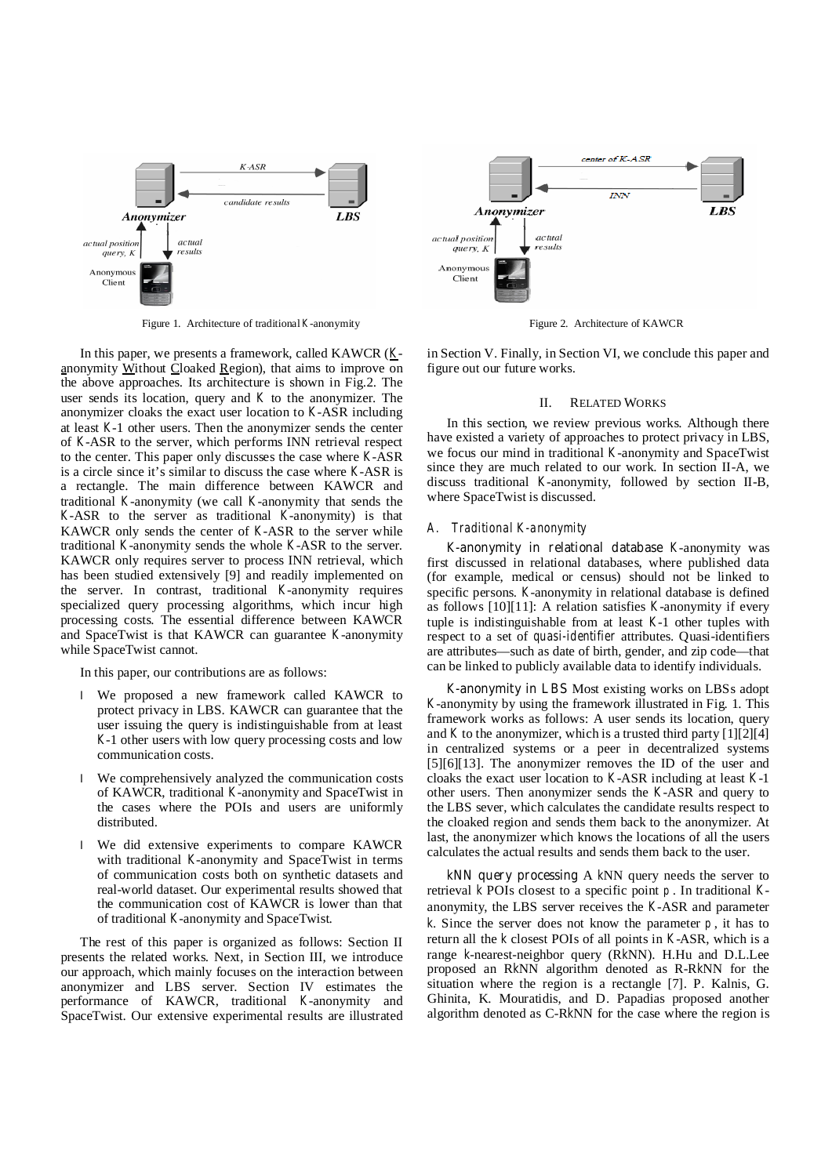

Figure 1. Architecture of traditional *K*-anonymity Figure 2. Architecture of KAWCR

In this paper, we presents a framework, called KAWCR (*K*anonymity Without Cloaked Region), that aims to improve on the above approaches. Its architecture is shown in Fig.2. The user sends its location, query and *K* to the anonymizer. The anonymizer cloaks the exact user location to *K*-ASR including at least *K*-1 other users. Then the anonymizer sends the center of *K*-ASR to the server, which performs INN retrieval respect to the center. This paper only discusses the case where *K*-ASR is a circle since it's similar to discuss the case where *K*-ASR is a rectangle. The main difference between KAWCR and traditional *K*-anonymity (we call *K*-anonymity that sends the *K*-ASR to the server as traditional *K*-anonymity) is that KAWCR only sends the center of *K*-ASR to the server while traditional *K*-anonymity sends the whole *K*-ASR to the server. KAWCR only requires server to process INN retrieval, which has been studied extensively [9] and readily implemented on the server. In contrast, traditional *K*-anonymity requires specialized query processing algorithms, which incur high processing costs. The essential difference between KAWCR and SpaceTwist is that KAWCR can guarantee *K*-anonymity while SpaceTwist cannot.

In this paper, our contributions are as follows:

- l We proposed a new framework called KAWCR to protect privacy in LBS. KAWCR can guarantee that the user issuing the query is indistinguishable from at least *K*-1 other users with low query processing costs and low communication costs.
- l We comprehensively analyzed the communication costs of KAWCR, traditional *K*-anonymity and SpaceTwist in the cases where the POIs and users are uniformly distributed.
- We did extensive experiments to compare KAWCR with traditional *K*-anonymity and SpaceTwist in terms of communication costs both on synthetic datasets and real-world dataset. Our experimental results showed that the communication cost of KAWCR is lower than that of traditional *K*-anonymity and SpaceTwist.

The rest of this paper is organized as follows: Section II presents the related works. Next, in Section III, we introduce our approach, which mainly focuses on the interaction between anonymizer and LBS server. Section IV estimates the performance of KAWCR, traditional *K*-anonymity and SpaceTwist. Our extensive experimental results are illustrated



in Section V. Finally, in Section VI, we conclude this paper and figure out our future works.

## II. RELATED WORKS

In this section, we review previous works. Although there have existed a variety of approaches to protect privacy in LBS, we focus our mind in traditional *K*-anonymity and SpaceTwist since they are much related to our work. In section II-A, we discuss traditional *K*-anonymity, followed by section II-B, where SpaceTwist is discussed.

## *A. Traditional K-anonymity*

*K***-anonymity in relational database** *K*-anonymity was first discussed in relational databases, where published data (for example, medical or census) should not be linked to specific persons. *K*-anonymity in relational database is defined as follows [10][11]: A relation satisfies *K*-anonymity if every tuple is indistinguishable from at least *K*-1 other tuples with respect to a set of *quasi-identifier* attributes. Quasi-identifiers are attributes—such as date of birth, gender, and zip code—that can be linked to publicly available data to identify individuals.

*K***-anonymity in LBS** Most existing works on LBSs adopt *K*-anonymity by using the framework illustrated in Fig. 1. This framework works as follows: A user sends its location, query and  $K$  to the anonymizer, which is a trusted third party  $[1][2][4]$ in centralized systems or a peer in decentralized systems [5][6][13]. The anonymizer removes the ID of the user and cloaks the exact user location to *K*-ASR including at least *K*-1 other users. Then anonymizer sends the *K*-ASR and query to the LBS sever, which calculates the candidate results respect to the cloaked region and sends them back to the anonymizer. At last, the anonymizer which knows the locations of all the users calculates the actual results and sends them back to the user.

*k***NN query processing** A *k*NN query needs the server to retrieval *k* POIs closest to a specific point *p* . In traditional *K*anonymity, the LBS server receives the *K*-ASR and parameter *k*. Since the server does not know the parameter  $p$ , it has to return all the *k* closest POIs of all points in *K*-ASR, which is a range *k*-nearest-neighbor query (R*k*NN). H.Hu and D.L.Lee proposed an R*k*NN algorithm denoted as R-R*k*NN for the situation where the region is a rectangle [7]. P. Kalnis, G. Ghinita, K. Mouratidis, and D. Papadias proposed another algorithm denoted as C-R*k*NN for the case where the region is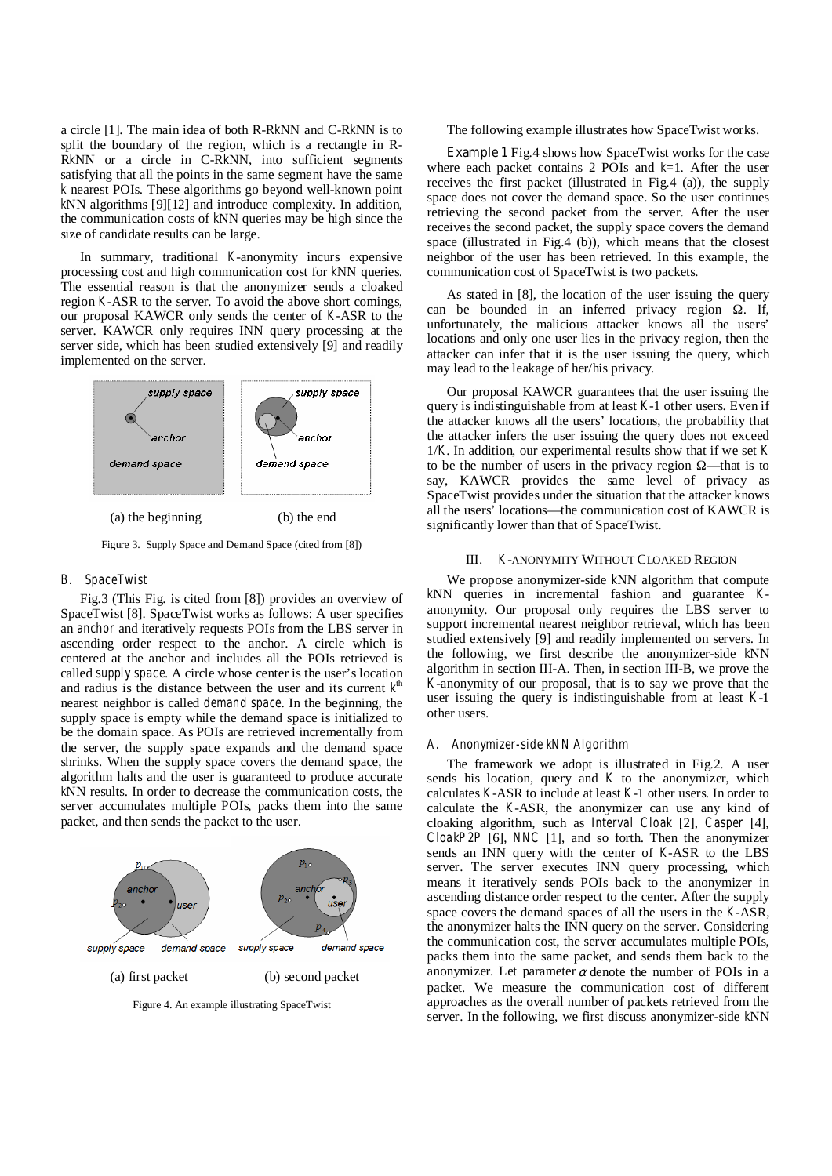a circle [1]. The main idea of both R-R*k*NN and C-R*k*NN is to split the boundary of the region, which is a rectangle in R-R*k*NN or a circle in C-R*k*NN, into sufficient segments satisfying that all the points in the same segment have the same *k* nearest POIs. These algorithms go beyond well-known point *k*NN algorithms [9][12] and introduce complexity. In addition, the communication costs of *k*NN queries may be high since the size of candidate results can be large.

In summary, traditional *K*-anonymity incurs expensive processing cost and high communication cost for *k*NN queries. The essential reason is that the anonymizer sends a cloaked region *K*-ASR to the server. To avoid the above short comings, our proposal KAWCR only sends the center of *K*-ASR to the server. KAWCR only requires INN query processing at the server side, which has been studied extensively [9] and readily implemented on the server.



Figure 3. Supply Space and Demand Space (cited from [8])

## *B. SpaceTwist*

Fig.3 (This Fig. is cited from [8]) provides an overview of SpaceTwist [8]. SpaceTwist works as follows: A user specifies an *anchor* and iteratively requests POIs from the LBS server in ascending order respect to the anchor. A circle which is centered at the anchor and includes all the POIs retrieved is called *supply space*. A circle whose center is the user's location and radius is the distance between the user and its current  $k^{\text{th}}$ nearest neighbor is called *demand space*. In the beginning, the supply space is empty while the demand space is initialized to be the domain space. As POIs are retrieved incrementally from the server, the supply space expands and the demand space shrinks. When the supply space covers the demand space, the algorithm halts and the user is guaranteed to produce accurate *k*NN results. In order to decrease the communication costs, the server accumulates multiple POIs, packs them into the same packet, and then sends the packet to the user.



Figure 4. An example illustrating SpaceTwist

The following example illustrates how SpaceTwist works.

**Example 1** Fig.4 shows how SpaceTwist works for the case where each packet contains 2 POIs and *k*=1. After the user receives the first packet (illustrated in Fig.4 (a)), the supply space does not cover the demand space. So the user continues retrieving the second packet from the server. After the user receives the second packet, the supply space covers the demand space (illustrated in Fig.4 (b)), which means that the closest neighbor of the user has been retrieved. In this example, the communication cost of SpaceTwist is two packets.

As stated in [8], the location of the user issuing the query can be bounded in an inferred privacy region . If, unfortunately, the malicious attacker knows all the users' locations and only one user lies in the privacy region, then the attacker can infer that it is the user issuing the query, which may lead to the leakage of her/his privacy.

Our proposal KAWCR guarantees that the user issuing the query is indistinguishable from at least *K*-1 other users. Even if the attacker knows all the users' locations, the probability that the attacker infers the user issuing the query does not exceed 1/*K*. In addition, our experimental results show that if we set *K* to be the number of users in the privacy region —that is to say, KAWCR provides the same level of privacy as SpaceTwist provides under the situation that the attacker knows all the users' locations—the communication cost of KAWCR is significantly lower than that of SpaceTwist.

## III. *K*-ANONYMITY WITHOUT CLOAKED REGION

We propose anonymizer-side *k*NN algorithm that compute *k*NN queries in incremental fashion and guarantee *K*anonymity. Our proposal only requires the LBS server to support incremental nearest neighbor retrieval, which has been studied extensively [9] and readily implemented on servers. In the following, we first describe the anonymizer-side *k*NN algorithm in section III-A. Then, in section III-B, we prove the *K*-anonymity of our proposal, that is to say we prove that the user issuing the query is indistinguishable from at least *K*-1 other users.

## *A. Anonymizer-side kNN Algorithm*

The framework we adopt is illustrated in Fig.2. A user sends his location, query and *K* to the anonymizer, which calculates *K*-ASR to include at least *K*-1 other users. In order to calculate the *K*-ASR, the anonymizer can use any kind of cloaking algorithm, such as *Interval Cloak* [2], *Casper* [4], *CloakP2P* [6], *NNC* [1], and so forth. Then the anonymizer sends an INN query with the center of *K*-ASR to the LBS server. The server executes INN query processing, which means it iteratively sends POIs back to the anonymizer in ascending distance order respect to the center. After the supply space covers the demand spaces of all the users in the *K*-ASR, the anonymizer halts the INN query on the server. Considering the communication cost, the server accumulates multiple POIs, packs them into the same packet, and sends them back to the anonymizer. Let parameter  $\alpha$  denote the number of POIs in a packet. We measure the communication cost of different approaches as the overall number of packets retrieved from the server. In the following, we first discuss anonymizer-side *k*NN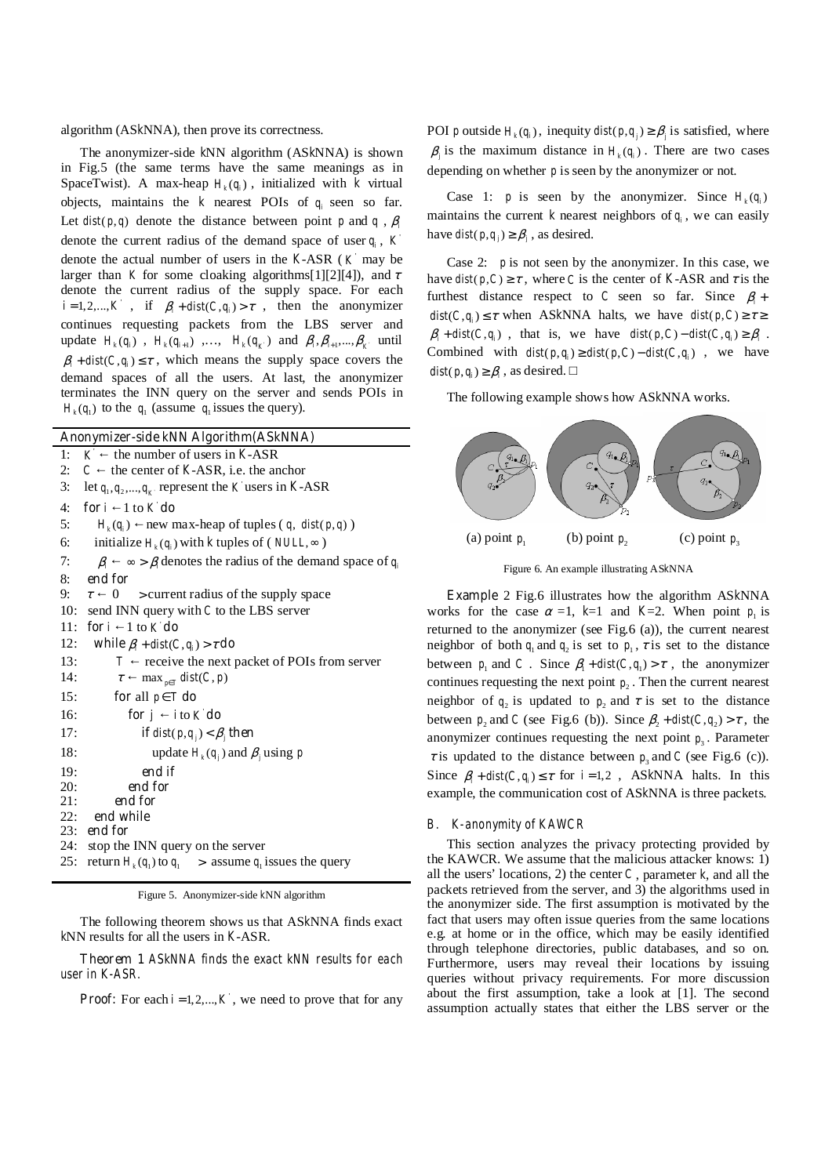algorithm (AS*k*NNA), then prove its correctness.

The anonymizer-side *k*NN algorithm (AS*k*NNA) is shown in Fig.5 (the same terms have the same meanings as in SpaceTwist). A max-heap  $H_k(q_i)$ , initialized with *k* virtual objects, maintains the  $k$  nearest POIs of  $q_i$  seen so far. Let  $dist(p, q)$  denote the distance between point *p* and *q* ,  $\beta$ *i* denote the current radius of the demand space of user  $q_i$ ,  $K$ denote the actual number of users in the  $K-ASR$  ( $K$  may be larger than *K* for some cloaking algorithms[1][2][4]), and  $\tau$ denote the current radius of the supply space. For each ' $i = 1, 2, \dots, K$ , if  $\beta_i + dist(C, q_i) > \tau$ , then the anonymizer continues requesting packets from the LBS server and update  $H_k(q_i)$ ,  $H_k(q_{i+1})$ , ...,  $H_k(q_k)$  and  $\beta_i, \beta_{i+1},..., \beta_k$  until  $\beta_i + dist(C, q_i) \leq \tau$ , which means the supply space covers the demand spaces of all the users. At last, the anonymizer terminates the INN query on the server and sends POIs in  $H_k(q_1)$  to the  $q_1$  (assume  $q_1$  issues the query).

| Anonymizer-side kNN Algorithm(ASkNNA)                                               |  |  |  |  |
|-------------------------------------------------------------------------------------|--|--|--|--|
| the number of users in $K-ASR$<br>$K^{'}$<br>1:                                     |  |  |  |  |
| the center of $K-ASR$ , i.e. the anchor<br>2:<br>$\mathcal{C}$                      |  |  |  |  |
| let $q_1, q_2, , q_k$ represent the K users in K-ASR<br>3:                          |  |  |  |  |
| for $i \neq 1$ to $K$ do<br>4:                                                      |  |  |  |  |
| 5:<br>$H_k(q_i)$ new max-heap of tuples (q, dist(p,q))                              |  |  |  |  |
| initialize $H_k(q_i)$ with k tuples of ( <i>NULL</i> , $\infty$ )<br>6:             |  |  |  |  |
| 7:<br>$\beta_i \rightarrow \beta$ , denotes the radius of the demand space of $q_i$ |  |  |  |  |
| end for<br>8:                                                                       |  |  |  |  |
| 9:<br>$\tau \quad 0$<br>> current radius of the supply space                        |  |  |  |  |
| 10:<br>send INN query with $C$ to the LBS server                                    |  |  |  |  |
| <b>for</b> $i \in \mathbb{I}$ to $K$ <b>do</b><br>11:                               |  |  |  |  |
| 12:<br>while $\beta_i$ + dist(C, q <sub>i</sub> ) > $\tau$ do                       |  |  |  |  |
| 13:<br>$T$ receive the next packet of POIs from server                              |  |  |  |  |
| 14:<br>$\tau$ max $_{p \in T}$ dist(C, p)                                           |  |  |  |  |
| 15:<br>for all $p \in T$ do                                                         |  |  |  |  |
| 16:<br>for $j$ ito $K$ do                                                           |  |  |  |  |
| 17:<br><b>if</b> $dist(p,q_i) < \beta$ then                                         |  |  |  |  |
| 18:<br>update $H_k(q_i)$ and $\beta_i$ using p                                      |  |  |  |  |
| 19:<br>end if                                                                       |  |  |  |  |
| 20:<br>end for                                                                      |  |  |  |  |
| 21:<br>end for                                                                      |  |  |  |  |
| 22: end while                                                                       |  |  |  |  |
| $23:$ end for                                                                       |  |  |  |  |
| 24: stop the INN query on the server                                                |  |  |  |  |
| return $H_k(q_1)$ to $q_1$ > assume $q_1$ issues the query<br>25:                   |  |  |  |  |

Figure 5. Anonymizer-side *k*NN algorithm

The following theorem shows us that AS*k*NNA finds exact *k*NN results for all the users in *K*-ASR.

**Theorem 1** *ASkNNA finds the exact kNN results for each user in K-ASR.* 

**Proof:** For each  $i = 1, 2, \dots, K$ , we need to prove that for any

POI *p* outside  $H_k(q_i)$ , inequity  $dist(p,q_i) \geq \beta$  is satisfied, where  $\beta_i$  is the maximum distance in  $H_k(q_i)$ . There are two cases depending on whether *p* is seen by the anonymizer or not.

Case 1: *p* is seen by the anonymizer. Since  $H_k(q_i)$ maintains the current  $k$  nearest neighbors of  $q_i$ , we can easily have  $dist(p, q_i) \geq \beta_i$ , as desired.

Case 2:  $p$  is not seen by the anonymizer. In this case, we have  $dist(p, C) \geq \tau$ , where *C* is the center of *K*-ASR and  $\tau$  is the furthest distance respect to *C* seen so far. Since  $\beta_i$ +  $dist(C, q_i) \leq \tau$  when ASkNNA halts, we have  $dist(p, C) \geq \tau \geq$  $\beta_i + dist(C, q_i)$ , that is, we have  $dist(p, C) - dist(C, q_i) \ge \beta_i$ . Combined with  $dist(p, q_i) \geq dist(p, C) - dist(C, q_i)$ , we have  $dist(p, q_i) \geq \beta$ , as desired.

The following example shows how AS*k*NNA works.



Figure 6. An example illustrating AS*k*NNA

**Example** 2 Fig.6 illustrates how the algorithm AS*k*NNA works for the case  $\alpha = 1$ ,  $k=1$  and  $K=2$ . When point  $p_1$  is returned to the anonymizer (see Fig.6 (a)), the current nearest neighbor of both  $q_1$  and  $q_2$  is set to  $p_1$ ,  $\tau$  is set to the distance between  $p_1$  and *C*. Since  $\beta_1 + dist(C, q_1) > \tau$ , the anonymizer continues requesting the next point  $p_2$ . Then the current nearest neighbor of  $q_2$  is updated to  $p_2$  and  $\tau$  is set to the distance between  $p_2$  and *C* (see Fig.6 (b)). Since  $\beta_2 + dist(C, q_2) > \tau$ , the anonymizer continues requesting the next point  $p_3$ . Parameter  $\tau$  is updated to the distance between  $p_3$  and *C* (see Fig.6 (c)). Since  $\beta_i + dist(C, q_i) \leq \tau$  for  $i = 1, 2$ , ASkNNA halts. In this example, the communication cost of AS*k*NNA is three packets.

#### *B. K-anonymity of KAWCR*

This section analyzes the privacy protecting provided by the KAWCR. We assume that the malicious attacker knows: 1) all the users' locations, 2) the center *C* , parameter *k*, and all the packets retrieved from the server, and 3) the algorithms used in the anonymizer side. The first assumption is motivated by the fact that users may often issue queries from the same locations e.g. at home or in the office, which may be easily identified through telephone directories, public databases, and so on. Furthermore, users may reveal their locations by issuing queries without privacy requirements. For more discussion about the first assumption, take a look at [1]. The second assumption actually states that either the LBS server or the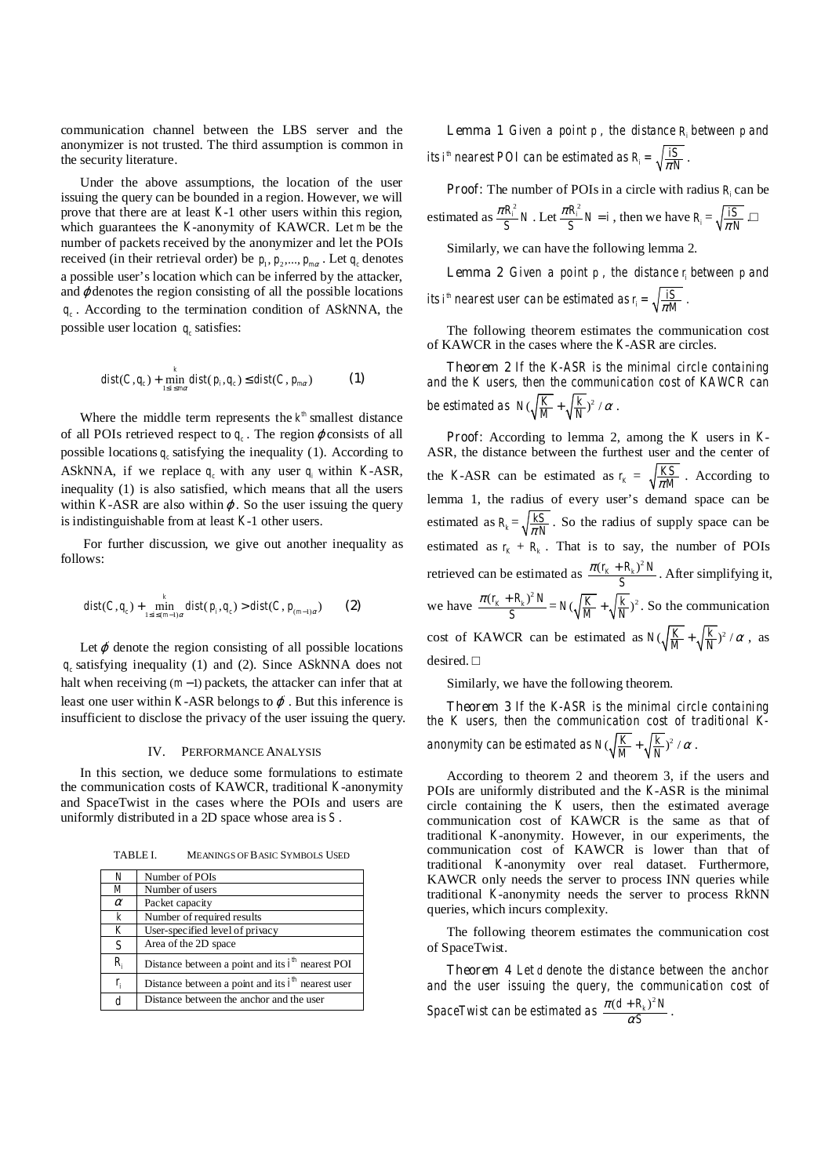communication channel between the LBS server and the anonymizer is not trusted. The third assumption is common in the security literature.

Under the above assumptions, the location of the user issuing the query can be bounded in a region. However, we will prove that there are at least *K*-1 other users within this region, which guarantees the *K*-anonymity of KAWCR. Let *m* be the number of packets received by the anonymizer and let the POIs received (in their retrieval order) be  $p_1, p_2, ..., p_{m\alpha}$ . Let  $q_c$  denotes a possible user's location which can be inferred by the attacker, and  $\varphi$  denotes the region consisting of all the possible locations *qc* . According to the termination condition of AS*k*NNA, the possible user location  $q_c$  satisfies:

$$
dist(C, q_c) + \min_{1 \le i \le m\alpha} dist(p_i, q_c) \le dist(C, p_{m\alpha})
$$
 (1)

Where the middle term represents the  $k^{\text{th}}$  smallest distance of all POIs retrieved respect to  $q_c$ . The region  $\varphi$  consists of all possible locations  $q_c$  satisfying the inequality (1). According to ASkNNA, if we replace  $q_c$  with any user  $q_i$  within *K*-ASR, inequality (1) is also satisfied, which means that all the users within *K*-ASR are also within  $\varphi$ . So the user issuing the query is indistinguishable from at least *K*-1 other users.

 For further discussion, we give out another inequality as follows:

$$
dist(C,q_c) + \min_{1 \le i \le (m-1)\alpha} dist(p_i,q_c) > dist(C, p_{(m-1)\alpha})
$$
 (2)

Let  $\varphi$  denote the region consisting of all possible locations *qc* satisfying inequality (1) and (2). Since AS*k*NNA does not halt when receiving  $(m - 1)$  packets, the attacker can infer that at least one user within *K*-ASR belongs to  $\varphi$ . But this inference is insufficient to disclose the privacy of the user issuing the query.

#### IV. PERFORMANCE ANALYSIS

In this section, we deduce some formulations to estimate the communication costs of KAWCR, traditional *K*-anonymity and SpaceTwist in the cases where the POIs and users are uniformly distributed in a 2D space whose area is *S* .

TABLE I. MEANINGS OF BASIC SYMBOLS USED

| N                | Number of POIs                                         |
|------------------|--------------------------------------------------------|
| M                | Number of users                                        |
| $\alpha$         | Packet capacity                                        |
| $\boldsymbol{k}$ | Number of required results                             |
| K                | User-specified level of privacy                        |
| S                | Area of the 2D space                                   |
| R,               | Distance between a point and its $i^{th}$ nearest POI  |
| $r_i$            | Distance between a point and its $i^{th}$ nearest user |
|                  | Distance between the anchor and the user               |

**Lemma 1** *Given a point*  $p$ *, the distance*  $R$  *between*  $p$  *and its i*<sup>*h*</sup> *nearest POI can be estimated as*  $R_i = \sqrt{\frac{iS}{\pi N}}$ .

**Proof:** The number of POIs in a circle with radius *R*<sub>i</sub> can be

estimated as 
$$
\frac{\pi R_i^2}{S}N
$$
. Let  $\frac{\pi R_i^2}{S}N = i$ , then we have  $R_i = \sqrt{\frac{iS}{\pi N}}$ .

Similarly, we can have the following lemma 2.

**Lemma 2** *Given a point p, the distance*  $r_i$  *between p and its i*<sup>*h*</sup> *nearest user can be estimated as*  $r_i = \sqrt{\frac{iS}{\pi M}}$ .

The following theorem estimates the communication cost of KAWCR in the cases where the *K*-ASR are circles.

**Theorem 2** *If the K-ASR is the minimal circle containing and the K users, then the communication cost of KAWCR can be estimated as*  $N(\sqrt{\frac{K}{M}} + \sqrt{\frac{k}{N}})^2 / \alpha$ .

**Proof:** According to lemma 2, among the *K* users in *K*-ASR, the distance between the furthest user and the center of the *K*-ASR can be estimated as  $r_k = \sqrt{\frac{KS}{\pi M}}$ . According to lemma 1, the radius of every user's demand space can be estimated as  $R_k = \sqrt{\frac{kS}{\pi N}}$ . So the radius of supply space can be estimated as  $r_k + R_k$ . That is to say, the number of POIs retrieved can be estimated as  $\frac{\pi (r_k + R_k)^2 N}{S}$ . After simplifying it, we have  $\frac{\pi (r_k + R_k)^2 N}{S} = N(\sqrt{\frac{K}{M}} + \sqrt{\frac{k}{N}})^2$ . So the communication cost of KAWCR can be estimated as  $N(\sqrt{\frac{K}{M}} + \sqrt{\frac{k}{N}})^2 / \alpha$ , as desired.

Similarly, we have the following theorem.

**Theorem 3** *If the K-ASR is the minimal circle containing the K users, then the communication cost of traditional Kanonymity can be estimated as*  $N(\sqrt{\frac{K}{M}} + \sqrt{\frac{k}{N}})^2 / \alpha$ .

According to theorem 2 and theorem 3, if the users and POIs are uniformly distributed and the *K*-ASR is the minimal circle containing the *K* users, then the estimated average communication cost of KAWCR is the same as that of traditional *K*-anonymity. However, in our experiments, the communication cost of KAWCR is lower than that of traditional *K*-anonymity over real dataset. Furthermore, KAWCR only needs the server to process INN queries while traditional *K*-anonymity needs the server to process R*k*NN queries, which incurs complexity.

The following theorem estimates the communication cost of SpaceTwist.

**Theorem 4** *Let d denote the distance between the anchor and the user issuing the query, the communication cost of SpaceTwist can be estimated as*  $\frac{\pi (d+R_k)^2 N}{\alpha S}$ π  $\frac{+R_k^2}{\alpha S}$ .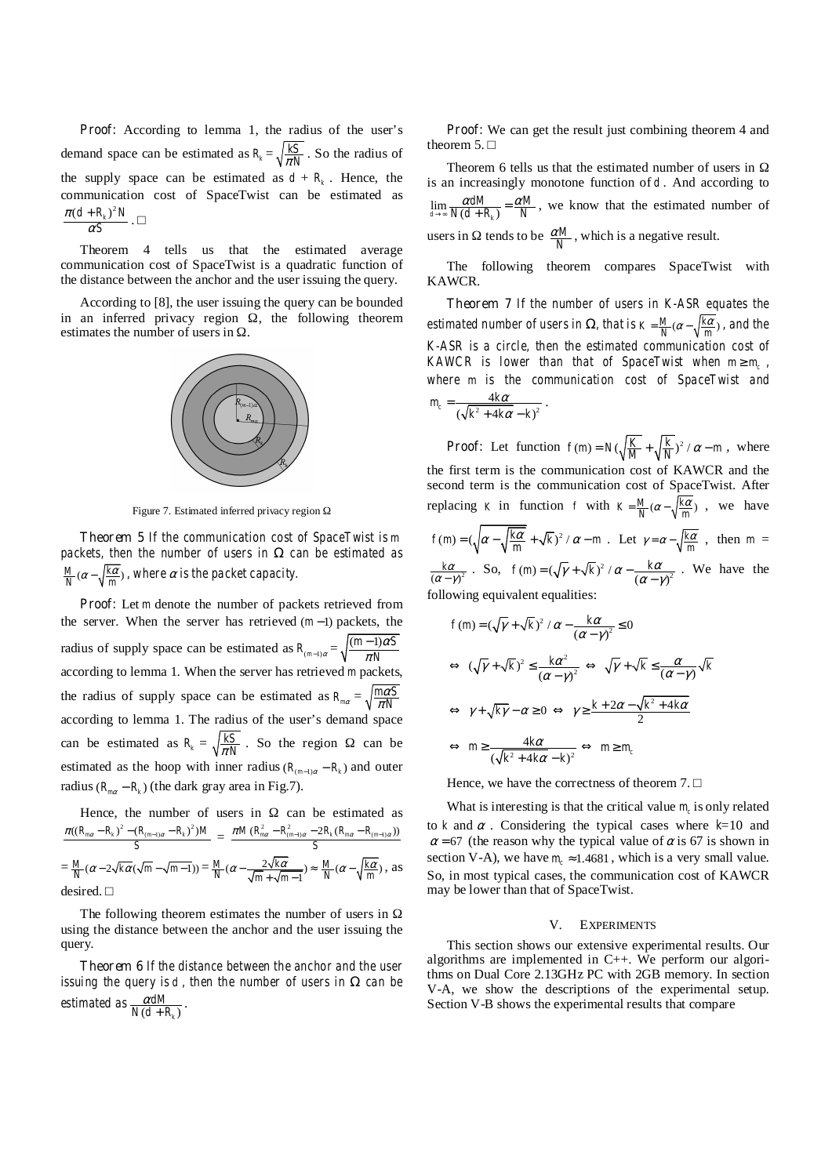**Proof:** According to lemma 1, the radius of the user's demand space can be estimated as  $R_k = \sqrt{\frac{kS}{\pi N}}$ . So the radius of the supply space can be estimated as  $d + R_k$ . Hence, the communication cost of SpaceTwist can be estimated as *S* α  $\frac{\pi (d+R_k)^2 N}{\alpha S}.$ 

Theorem 4 tells us that the estimated average communication cost of SpaceTwist is a quadratic function of the distance between the anchor and the user issuing the query.

According to [8], the user issuing the query can be bounded in an inferred privacy region , the following theorem estimates the number of users in .



Figure 7. Estimated inferred privacy region

**Theorem 5** *If the communication cost of SpaceTwist is m packets, then the number of users in can be estimated as*   $\frac{M}{N}$  ( $\alpha$  –  $\sqrt{\frac{k\alpha}{m}}$ ), where  $\alpha$  is the packet capacity.

**Proof:** Let *m* denote the number of packets retrieved from the server. When the server has retrieved  $(m-1)$  packets, the radius of supply space can be estimated as  $R_{(m-1)\alpha} = \sqrt{\frac{(m-1)\alpha S}{\pi N}}$ α π − according to lemma 1. When the server has retrieved *m* packets, the radius of supply space can be estimated as  $R_{ma} = \sqrt{\frac{m\alpha S}{\pi N}}$ π according to lemma 1. The radius of the user's demand space can be estimated as  $R_k = \sqrt{\frac{kS}{\pi N}}$ . So the region can be estimated as the hoop with inner radius ( $R_{(m-1)\alpha} - R_k$ ) and outer radius  $(R_{\text{max}} - R_k)$  (the dark gray area in Fig.7).

Hence, the number of users in can be estimated as  $((R_{m\alpha} - R_{k})^{2} - (R_{(m-1)\alpha} - R_{k})^{2})M$  $rac{\pi((R_{ma}-R_k)^2-(R_{(m-1)\alpha}-R_k)^2)M}{S} = \frac{\pi M (R_{ma}^2-R_{(m-1)\alpha}^2-2R_k(R_{ma}-R_{(m-1)\alpha}))}{S}$ *S*  $\pi M$  ( $R_{m\alpha}^2 - R_{(m-1)\alpha}^2 - 2R_k$  ( $R_{m\alpha} - R_{(m-1)\alpha}$  $=\frac{M}{N}(\alpha - 2\sqrt{k\alpha}(\sqrt{m} - \sqrt{m-1})) = \frac{M}{N}(\alpha - \frac{2\sqrt{k\alpha}}{\sqrt{m} + \sqrt{m-1}})$  $\frac{M}{N}$  ( $\alpha$  -  $\frac{2\sqrt{k\alpha}}{\sqrt{m} + \sqrt{m-1}}$ )  $\approx \frac{M}{N}$  ( $\alpha$  -  $\sqrt{\frac{k\alpha}{m}}$ ), as desired.

The following theorem estimates the number of users in using the distance between the anchor and the user issuing the query.

**Theorem 6** *If the distance between the anchor and the user issuing the query is d , then the number of users in can be estimated as*  $\frac{\alpha dM}{N(d+R_k)}$  $\frac{\alpha dM}{N(d+R_{k})}$ .

**Proof:** We can get the result just combining theorem 4 and theorem 5.

Theorem 6 tells us that the estimated number of users in is an increasingly monotone function of *d* . And according to  $\lim_{d \to \infty} \frac{u a u}{N(d + R_k)}$  $\frac{dM}{d\mu} = \frac{\alpha M}{\sigma}$  $\frac{\alpha dM}{N(d+R_{k})} = \frac{\alpha N}{N}$  $\lim_{x \to \infty} \frac{\alpha a M}{N(d + R_k)} = \frac{\alpha M}{N}$ , we know that the estimated number of users in tends to be  $\frac{\alpha M}{N}$ , which is a negative result.

The following theorem compares SpaceTwist with KAWCR.

**Theorem 7** *If the number of users in K-ASR equates the estimated number of users in* , that is  $K = \frac{M}{N} (\alpha - \sqrt{\frac{k\alpha}{m}})$ , and the *K-ASR is a circle, then the estimated communication cost of KAWCR is lower than that of SpaceTwist when*  $m \ge m_c$ , *where m is the communication cost of SpaceTwist and*   $\frac{4k\alpha}{\sqrt[2]{1-4k\alpha}}$   $k^2$  $m_c = \frac{4k\alpha}{\left(\sqrt{k^2 + 4k\alpha} - k\right)^2}$ .

**Proof:** Let function  $f(m) = N(\sqrt{\frac{K}{M}} + \sqrt{\frac{k}{N}})^2 / \alpha - m$ , where the first term is the communication cost of KAWCR and the second term is the communication cost of SpaceTwist. After replacing *K* in function *f* with  $K = \frac{M}{N} (\alpha - \sqrt{\frac{k\alpha}{m}})$ , we have  $f(m) = (\sqrt{\alpha - \sqrt{\frac{k\alpha}{m}} + \sqrt{k}})^2 / \alpha - m$ . Let  $\gamma = \alpha - \sqrt{\frac{k\alpha}{m}}$ , then  $m =$  $\frac{k\alpha}{(\alpha-\gamma)^2}$ . So,  $f(m)=(\sqrt{\gamma}+\sqrt{k})^2/\alpha-\frac{k\alpha}{(\alpha-\gamma)^2}$ . We have the following equivalent equalities:

$$
f(m) = (\sqrt{\gamma} + \sqrt{k})^2 / \alpha - \frac{k\alpha}{(\alpha - \gamma)^2} \le 0
$$
  

$$
\Leftrightarrow (\sqrt{\gamma} + \sqrt{k})^2 \le \frac{k\alpha^2}{(\alpha - \gamma)^2} \Leftrightarrow \sqrt{\gamma} + \sqrt{k} \le \frac{\alpha}{(\alpha - \gamma)} \sqrt{k}
$$
  

$$
\Leftrightarrow \gamma + \sqrt{k\gamma} - \alpha \ge 0 \Leftrightarrow \gamma \ge \frac{k + 2\alpha - \sqrt{k^2 + 4k\alpha}}{2}
$$
  

$$
\Leftrightarrow m \ge \frac{4k\alpha}{(\sqrt{k^2 + 4k\alpha} - k)^2} \Leftrightarrow m \ge m_c
$$

Hence, we have the correctness of theorem 7.

What is interesting is that the critical value  $m<sub>c</sub>$  is only related to *k* and  $\alpha$ . Considering the typical cases where  $k=10$  and  $\alpha$  = 67 (the reason why the typical value of  $\alpha$  is 67 is shown in section V-A), we have  $m_c \approx 1.4681$ , which is a very small value. So, in most typical cases, the communication cost of KAWCR may be lower than that of SpaceTwist.

## V. EXPERIMENTS

This section shows our extensive experimental results. Our algorithms are implemented in C++. We perform our algorithms on Dual Core 2.13GHz PC with 2GB memory. In section V-A, we show the descriptions of the experimental setup. Section V-B shows the experimental results that compare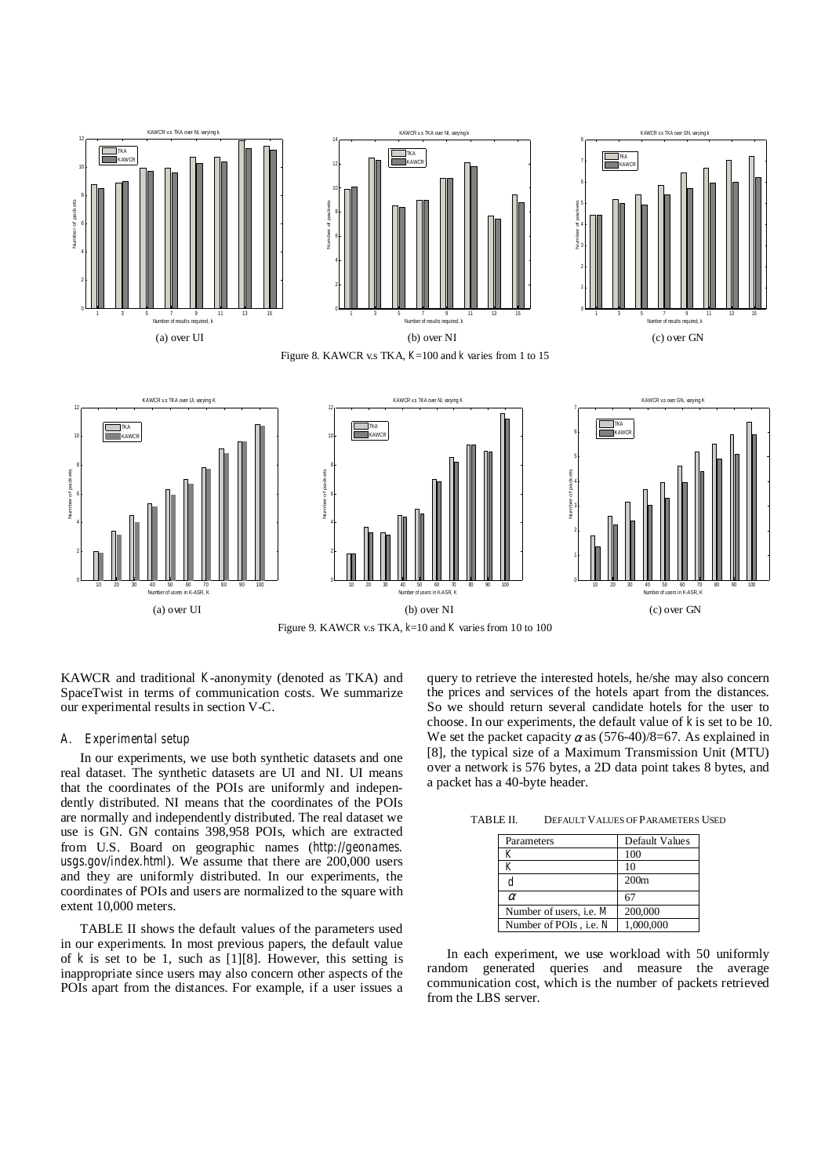

KAWCR and traditional *K*-anonymity (denoted as TKA) and SpaceTwist in terms of communication costs. We summarize our experimental results in section V-C.

### *A. Experimental setup*

In our experiments, we use both synthetic datasets and one real dataset. The synthetic datasets are UI and NI. UI means that the coordinates of the POIs are uniformly and independently distributed. NI means that the coordinates of the POIs are normally and independently distributed. The real dataset we use is GN. GN contains 398,958 POIs, which are extracted from U.S. Board on geographic names (*http://geonames. usgs.gov/index.html*). We assume that there are 200,000 users and they are uniformly distributed. In our experiments, the coordinates of POIs and users are normalized to the square with extent 10,000 meters.

TABLE II shows the default values of the parameters used in our experiments. In most previous papers, the default value of *k* is set to be 1, such as [1][8]. However, this setting is inappropriate since users may also concern other aspects of the POIs apart from the distances. For example, if a user issues a

query to retrieve the interested hotels, he/she may also concern the prices and services of the hotels apart from the distances. So we should return several candidate hotels for the user to choose. In our experiments, the default value of *k* is set to be 10. We set the packet capacity  $\alpha$  as (576-40)/8=67. As explained in [8], the typical size of a Maximum Transmission Unit (MTU) over a network is 576 bytes, a 2D data point takes 8 bytes, and a packet has a 40-byte header.

TABLE II. DEFAULT VALUES OF PARAMETERS USED

| Parameters                | Default Values   |
|---------------------------|------------------|
| K                         | 100              |
| K                         | 10               |
| d                         | 200 <sub>m</sub> |
| $\alpha$                  | 67               |
| Number of users, i.e. $M$ | 200,000          |
| Number of POIs, i.e. N    | 1,000,000        |

In each experiment, we use workload with 50 uniformly random generated queries and measure the average communication cost, which is the number of packets retrieved from the LBS server.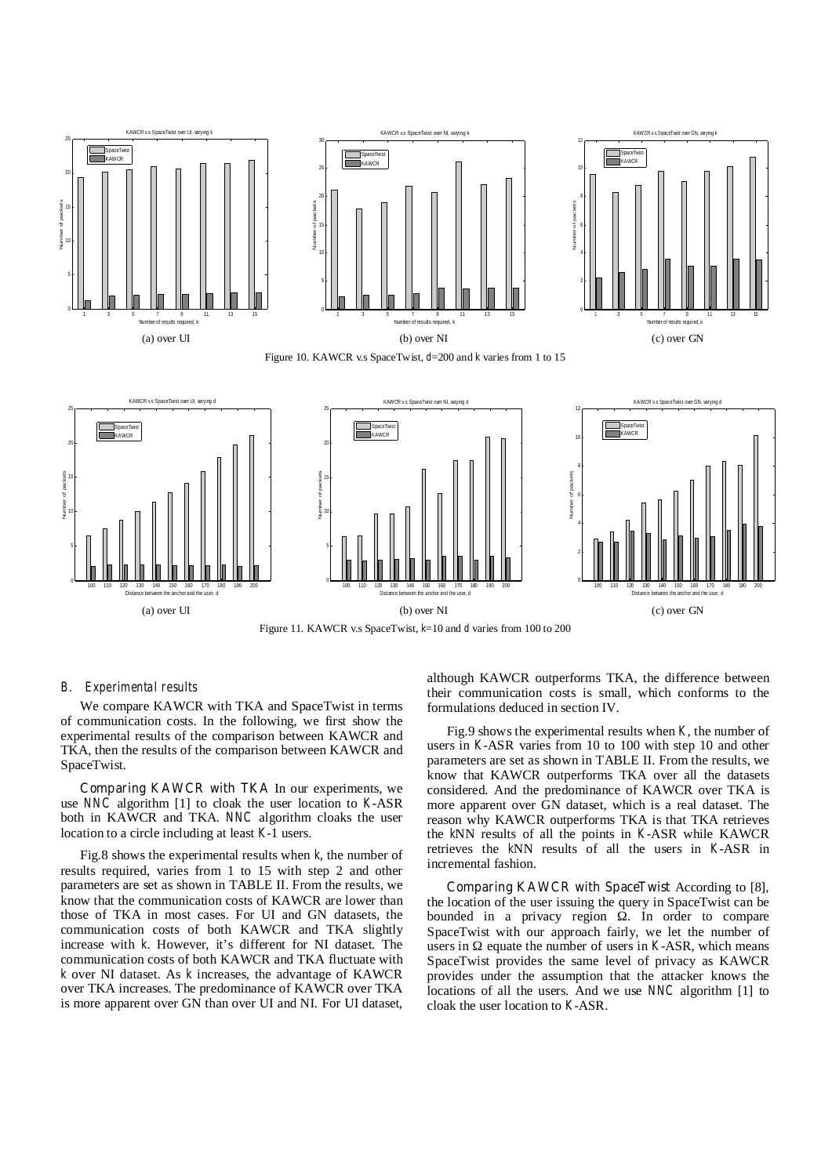

Figure 11. KAWCR v.s SpaceTwist, *k*=10 and *d* varies from 100 to 200

## *B. Experimental results*

We compare KAWCR with TKA and SpaceTwist in terms of communication costs. In the following, we first show the experimental results of the comparison between KAWCR and TKA, then the results of the comparison between KAWCR and SpaceTwist.

**Comparing KAWCR with TKA** In our experiments, we use *NNC* algorithm [1] to cloak the user location to *K*-ASR both in KAWCR and TKA. *NNC* algorithm cloaks the user location to a circle including at least *K*-1 users.

Fig.8 shows the experimental results when *k*, the number of results required, varies from 1 to 15 with step 2 and other parameters are set as shown in TABLE II. From the results, we know that the communication costs of KAWCR are lower than those of TKA in most cases. For UI and GN datasets, the communication costs of both KAWCR and TKA slightly increase with *k*. However, it's different for NI dataset. The communication costs of both KAWCR and TKA fluctuate with *k* over NI dataset. As *k* increases, the advantage of KAWCR over TKA increases. The predominance of KAWCR over TKA is more apparent over GN than over UI and NI. For UI dataset,

although KAWCR outperforms TKA, the difference between their communication costs is small, which conforms to the formulations deduced in section IV.

Fig.9 shows the experimental results when *K*, the number of users in *K*-ASR varies from 10 to 100 with step 10 and other parameters are set as shown in TABLE II. From the results, we know that KAWCR outperforms TKA over all the datasets considered. And the predominance of KAWCR over TKA is more apparent over GN dataset, which is a real dataset. The reason why KAWCR outperforms TKA is that TKA retrieves the *k*NN results of all the points in *K*-ASR while KAWCR retrieves the *k*NN results of all the users in *K*-ASR in incremental fashion.

**Comparing KAWCR with SpaceTwist** According to [8], the location of the user issuing the query in SpaceTwist can be bounded in a privacy region . In order to compare SpaceTwist with our approach fairly, we let the number of users in equate the number of users in *K*-ASR, which means SpaceTwist provides the same level of privacy as KAWCR provides under the assumption that the attacker knows the locations of all the users. And we use *NNC* algorithm [1] to cloak the user location to *K*-ASR.